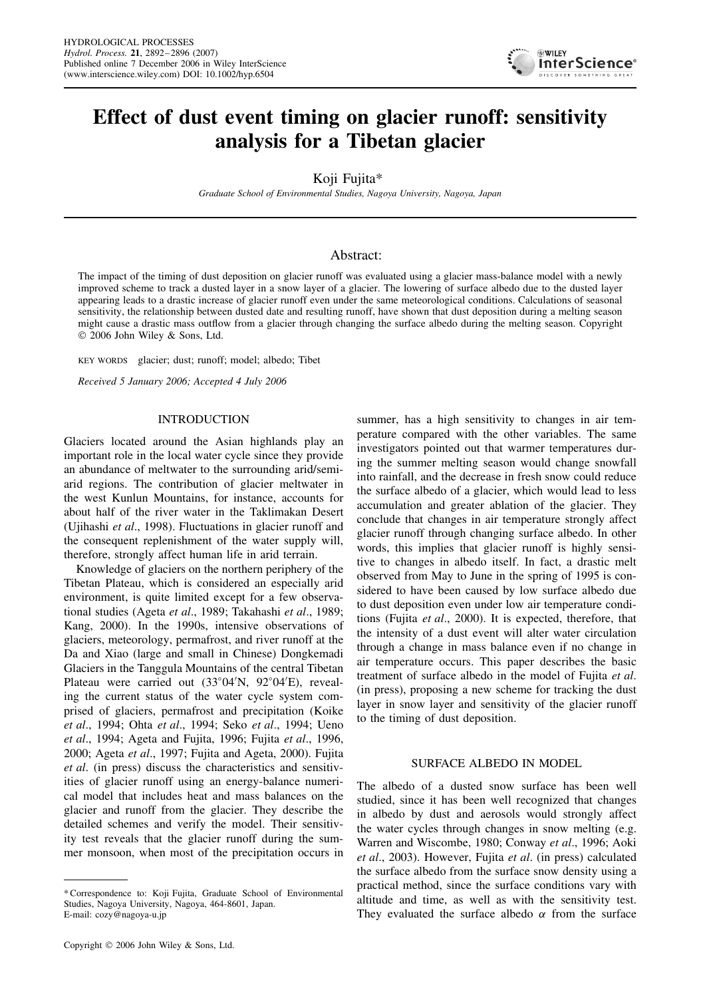

# **Effect of dust event timing on glacier runoff: sensitivity analysis for a Tibetan glacier**

# Koji Fujita\*

*Graduate School of Environmental Studies, Nagoya University, Nagoya, Japan*

## Abstract:

The impact of the timing of dust deposition on glacier runoff was evaluated using a glacier mass-balance model with a newly improved scheme to track a dusted layer in a snow layer of a glacier. The lowering of surface albedo due to the dusted layer appearing leads to a drastic increase of glacier runoff even under the same meteorological conditions. Calculations of seasonal sensitivity, the relationship between dusted date and resulting runoff, have shown that dust deposition during a melting season might cause a drastic mass outflow from a glacier through changing the surface albedo during the melting season. Copyright 2006 John Wiley & Sons, Ltd.

KEY WORDS glacier; dust; runoff; model; albedo; Tibet

*Received 5 January 2006; Accepted 4 July 2006*

## INTRODUCTION

Glaciers located around the Asian highlands play an important role in the local water cycle since they provide an abundance of meltwater to the surrounding arid/semiarid regions. The contribution of glacier meltwater in the west Kunlun Mountains, for instance, accounts for about half of the river water in the Taklimakan Desert (Ujihashi *et al*., 1998). Fluctuations in glacier runoff and the consequent replenishment of the water supply will, therefore, strongly affect human life in arid terrain.

Knowledge of glaciers on the northern periphery of the Tibetan Plateau, which is considered an especially arid environment, is quite limited except for a few observational studies (Ageta *et al*., 1989; Takahashi *et al*., 1989; Kang, 2000). In the 1990s, intensive observations of glaciers, meteorology, permafrost, and river runoff at the Da and Xiao (large and small in Chinese) Dongkemadi Glaciers in the Tanggula Mountains of the central Tibetan Plateau were carried out (33°04'N, 92°04'E), revealing the current status of the water cycle system comprised of glaciers, permafrost and precipitation (Koike *et al*., 1994; Ohta *et al*., 1994; Seko *et al*., 1994; Ueno *et al*., 1994; Ageta and Fujita, 1996; Fujita *et al*., 1996, 2000; Ageta *et al*., 1997; Fujita and Ageta, 2000). Fujita *et al*. (in press) discuss the characteristics and sensitivities of glacier runoff using an energy-balance numerical model that includes heat and mass balances on the glacier and runoff from the glacier. They describe the detailed schemes and verify the model. Their sensitivity test reveals that the glacier runoff during the summer monsoon, when most of the precipitation occurs in summer, has a high sensitivity to changes in air temperature compared with the other variables. The same investigators pointed out that warmer temperatures during the summer melting season would change snowfall into rainfall, and the decrease in fresh snow could reduce the surface albedo of a glacier, which would lead to less accumulation and greater ablation of the glacier. They conclude that changes in air temperature strongly affect glacier runoff through changing surface albedo. In other words, this implies that glacier runoff is highly sensitive to changes in albedo itself. In fact, a drastic melt observed from May to June in the spring of 1995 is considered to have been caused by low surface albedo due to dust deposition even under low air temperature conditions (Fujita *et al*., 2000). It is expected, therefore, that the intensity of a dust event will alter water circulation through a change in mass balance even if no change in air temperature occurs. This paper describes the basic treatment of surface albedo in the model of Fujita *et al*. (in press), proposing a new scheme for tracking the dust layer in snow layer and sensitivity of the glacier runoff to the timing of dust deposition.

### SURFACE ALBEDO IN MODEL

The albedo of a dusted snow surface has been well studied, since it has been well recognized that changes in albedo by dust and aerosols would strongly affect the water cycles through changes in snow melting (e.g. Warren and Wiscombe, 1980; Conway *et al*., 1996; Aoki *et al*., 2003). However, Fujita *et al*. (in press) calculated the surface albedo from the surface snow density using a practical method, since the surface conditions vary with altitude and time, as well as with the sensitivity test. They evaluated the surface albedo  $\alpha$  from the surface

<sup>\*</sup> Correspondence to: Koji Fujita, Graduate School of Environmental Studies, Nagoya University, Nagoya, 464-8601, Japan. E-mail: cozy@nagoya-u.jp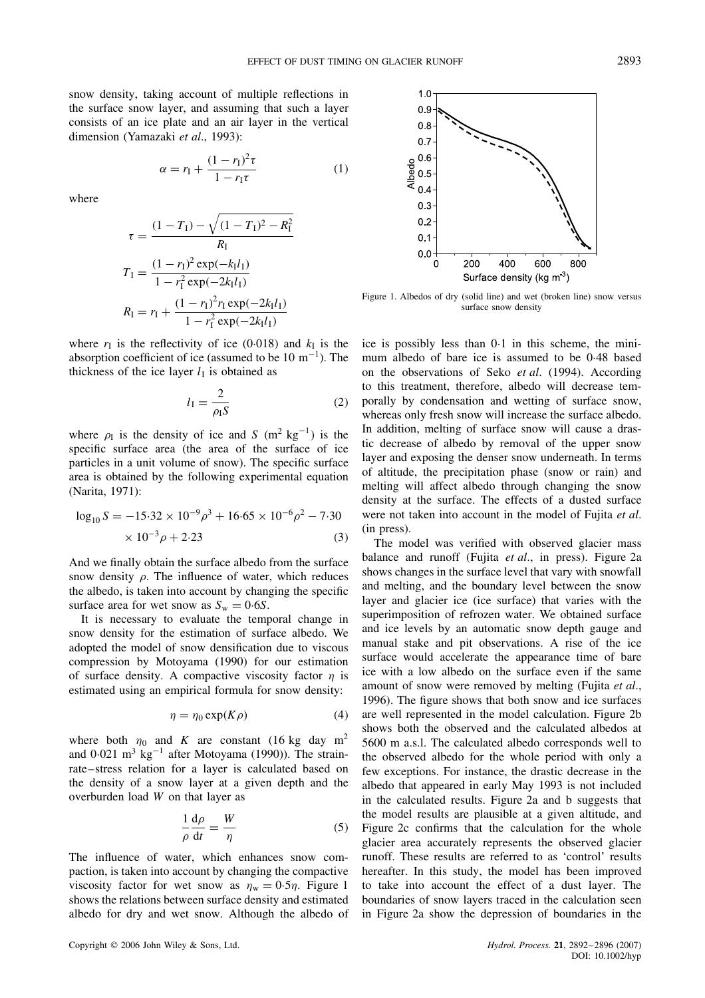snow density, taking account of multiple reflections in the surface snow layer, and assuming that such a layer consists of an ice plate and an air layer in the vertical dimension (Yamazaki *et al*., 1993):

$$
\alpha = r_{\rm I} + \frac{(1 - r_{\rm I})^2 \tau}{1 - r_{\rm I} \tau} \tag{1}
$$

where

$$
\tau = \frac{(1 - T_{\rm I}) - \sqrt{(1 - T_{\rm I})^2 - R_{\rm I}^2}}{R_{\rm I}}
$$
  
\n
$$
T_{\rm I} = \frac{(1 - r_{\rm I})^2 \exp(-k_{\rm I} l_{\rm I})}{1 - r_{\rm I}^2 \exp(-2k_{\rm I} l_{\rm I})}
$$
  
\n
$$
R_{\rm I} = r_{\rm I} + \frac{(1 - r_{\rm I})^2 r_{\rm I} \exp(-2k_{\rm I} l_{\rm I})}{1 - r_{\rm I}^2 \exp(-2k_{\rm I} l_{\rm I})}
$$

where  $r_I$  is the reflectivity of ice (0.018) and  $k_I$  is the absorption coefficient of ice (assumed to be 10  $\text{m}^{-1}$ ). The thickness of the ice layer  $l_1$  is obtained as

$$
l_1 = \frac{2}{\rho_1 S} \tag{2}
$$

where  $\rho_I$  is the density of ice and S (m<sup>2</sup> kg<sup>-1</sup>) is the specific surface area (the area of the surface of ice particles in a unit volume of snow). The specific surface area is obtained by the following experimental equation (Narita, 1971):

$$
\log_{10} S = -15.32 \times 10^{-9} \rho^3 + 16.65 \times 10^{-6} \rho^2 - 7.30
$$
  
× 10<sup>-3</sup>ρ + 2.23 (3)

And we finally obtain the surface albedo from the surface snow density  $\rho$ . The influence of water, which reduces the albedo, is taken into account by changing the specific surface area for wet snow as  $S_w = 0.6S$ .

It is necessary to evaluate the temporal change in snow density for the estimation of surface albedo. We adopted the model of snow densification due to viscous compression by Motoyama (1990) for our estimation of surface density. A compactive viscosity factor  $\eta$  is estimated using an empirical formula for snow density:

$$
\eta = \eta_0 \exp(K\rho) \tag{4}
$$

where both  $\eta_0$  and K are constant (16 kg day m<sup>2</sup> and  $0.021 \text{ m}^3 \text{ kg}^{-1}$  after Motoyama (1990)). The strainrate–stress relation for a layer is calculated based on the density of a snow layer at a given depth and the overburden load W on that layer as

$$
\frac{1}{\rho} \frac{d\rho}{dt} = \frac{W}{\eta}
$$
 (5)

The influence of water, which enhances snow compaction, is taken into account by changing the compactive viscosity factor for wet snow as  $\eta_w = 0.5\eta$ . Figure 1 shows the relations between surface density and estimated albedo for dry and wet snow. Although the albedo of



Figure 1. Albedos of dry (solid line) and wet (broken line) snow versus surface snow density

ice is possibly less than 0.1 in this scheme, the minimum albedo of bare ice is assumed to be 0.48 based on the observations of Seko *et al*. (1994). According to this treatment, therefore, albedo will decrease temporally by condensation and wetting of surface snow, whereas only fresh snow will increase the surface albedo. In addition, melting of surface snow will cause a drastic decrease of albedo by removal of the upper snow layer and exposing the denser snow underneath. In terms of altitude, the precipitation phase (snow or rain) and melting will affect albedo through changing the snow density at the surface. The effects of a dusted surface were not taken into account in the model of Fujita *et al*. (in press).

The model was verified with observed glacier mass balance and runoff (Fujita *et al*., in press). Figure 2a shows changes in the surface level that vary with snowfall and melting, and the boundary level between the snow layer and glacier ice (ice surface) that varies with the superimposition of refrozen water. We obtained surface and ice levels by an automatic snow depth gauge and manual stake and pit observations. A rise of the ice surface would accelerate the appearance time of bare ice with a low albedo on the surface even if the same amount of snow were removed by melting (Fujita *et al*., 1996). The figure shows that both snow and ice surfaces are well represented in the model calculation. Figure 2b shows both the observed and the calculated albedos at 5600 m a.s.l. The calculated albedo corresponds well to the observed albedo for the whole period with only a few exceptions. For instance, the drastic decrease in the albedo that appeared in early May 1993 is not included in the calculated results. Figure 2a and b suggests that the model results are plausible at a given altitude, and Figure 2c confirms that the calculation for the whole glacier area accurately represents the observed glacier runoff. These results are referred to as 'control' results hereafter. In this study, the model has been improved to take into account the effect of a dust layer. The boundaries of snow layers traced in the calculation seen in Figure 2a show the depression of boundaries in the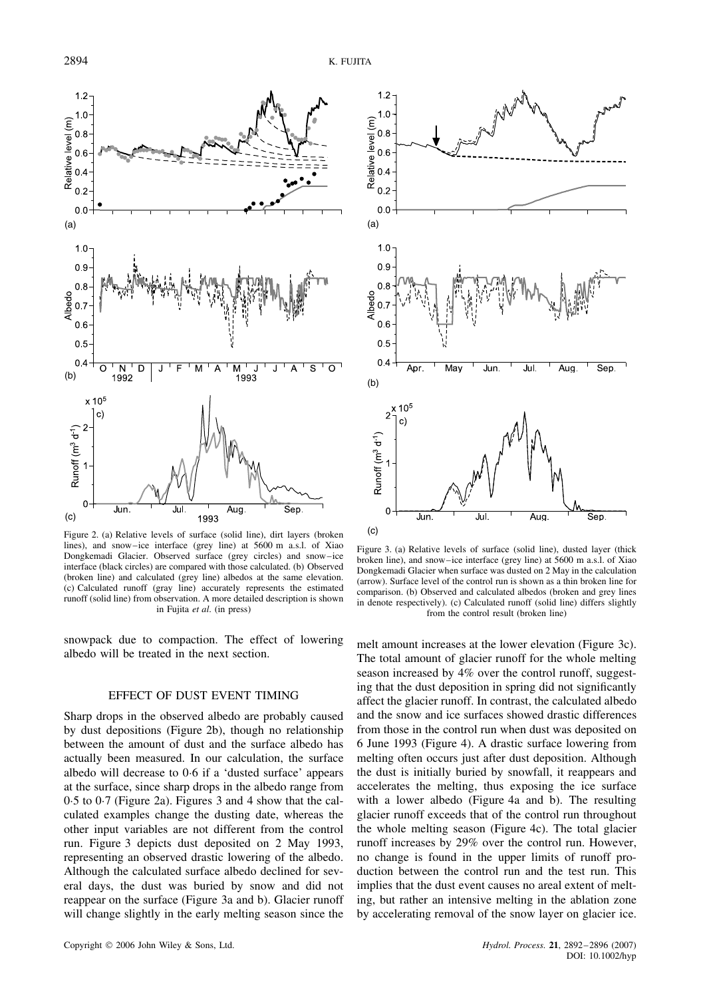

Figure 2. (a) Relative levels of surface (solid line), dirt layers (broken lines), and snow–ice interface (grey line) at 5600 m a.s.l. of Xiao Dongkemadi Glacier. Observed surface (grey circles) and snow–ice interface (black circles) are compared with those calculated. (b) Observed (broken line) and calculated (grey line) albedos at the same elevation. (c) Calculated runoff (gray line) accurately represents the estimated runoff (solid line) from observation. A more detailed description is shown in Fujita *et al*. (in press)

snowpack due to compaction. The effect of lowering albedo will be treated in the next section.

## EFFECT OF DUST EVENT TIMING

Sharp drops in the observed albedo are probably caused by dust depositions (Figure 2b), though no relationship between the amount of dust and the surface albedo has actually been measured. In our calculation, the surface albedo will decrease to 0.6 if a 'dusted surface' appears at the surface, since sharp drops in the albedo range from  $0.5$  to  $0.7$  (Figure 2a). Figures 3 and 4 show that the calculated examples change the dusting date, whereas the other input variables are not different from the control run. Figure 3 depicts dust deposited on 2 May 1993, representing an observed drastic lowering of the albedo. Although the calculated surface albedo declined for several days, the dust was buried by snow and did not reappear on the surface (Figure 3a and b). Glacier runoff will change slightly in the early melting season since the



Figure 3. (a) Relative levels of surface (solid line), dusted layer (thick broken line), and snow–ice interface (grey line) at 5600 m a.s.l. of Xiao Dongkemadi Glacier when surface was dusted on 2 May in the calculation (arrow). Surface level of the control run is shown as a thin broken line for comparison. (b) Observed and calculated albedos (broken and grey lines in denote respectively). (c) Calculated runoff (solid line) differs slightly from the control result (broken line)

melt amount increases at the lower elevation (Figure 3c). The total amount of glacier runoff for the whole melting season increased by 4% over the control runoff, suggesting that the dust deposition in spring did not significantly affect the glacier runoff. In contrast, the calculated albedo and the snow and ice surfaces showed drastic differences from those in the control run when dust was deposited on 6 June 1993 (Figure 4). A drastic surface lowering from melting often occurs just after dust deposition. Although the dust is initially buried by snowfall, it reappears and accelerates the melting, thus exposing the ice surface with a lower albedo (Figure 4a and b). The resulting glacier runoff exceeds that of the control run throughout the whole melting season (Figure 4c). The total glacier runoff increases by 29% over the control run. However, no change is found in the upper limits of runoff production between the control run and the test run. This implies that the dust event causes no areal extent of melting, but rather an intensive melting in the ablation zone by accelerating removal of the snow layer on glacier ice.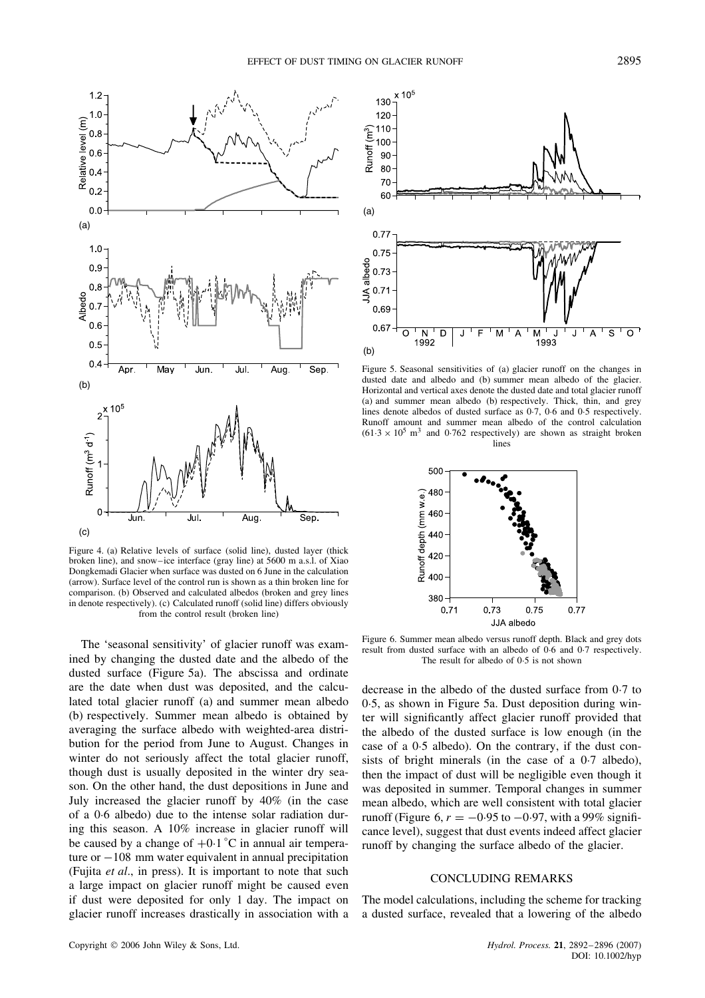

Figure 4. (a) Relative levels of surface (solid line), dusted layer (thick broken line), and snow–ice interface (gray line) at 5600 m a.s.l. of Xiao Dongkemadi Glacier when surface was dusted on 6 June in the calculation (arrow). Surface level of the control run is shown as a thin broken line for comparison. (b) Observed and calculated albedos (broken and grey lines in denote respectively). (c) Calculated runoff (solid line) differs obviously from the control result (broken line)

The 'seasonal sensitivity' of glacier runoff was examined by changing the dusted date and the albedo of the dusted surface (Figure 5a). The abscissa and ordinate are the date when dust was deposited, and the calculated total glacier runoff (a) and summer mean albedo (b) respectively. Summer mean albedo is obtained by averaging the surface albedo with weighted-area distribution for the period from June to August. Changes in winter do not seriously affect the total glacier runoff, though dust is usually deposited in the winter dry season. On the other hand, the dust depositions in June and July increased the glacier runoff by 40% (in the case of a 0Ð6 albedo) due to the intense solar radiation during this season. A 10% increase in glacier runoff will be caused by a change of  $+0.1 \degree C$  in annual air temperature or  $-108$  mm water equivalent in annual precipitation (Fujita *et al*., in press). It is important to note that such a large impact on glacier runoff might be caused even if dust were deposited for only 1 day. The impact on glacier runoff increases drastically in association with a



Figure 5. Seasonal sensitivities of (a) glacier runoff on the changes in dusted date and albedo and (b) summer mean albedo of the glacier. Horizontal and vertical axes denote the dusted date and total glacier runoff (a) and summer mean albedo (b) respectively. Thick, thin, and grey lines denote albedos of dusted surface as 0.7, 0.6 and 0.5 respectively. Runoff amount and summer mean albedo of the control calculation  $(61.3 \times 10^5 \text{ m}^3)$  and 0.762 respectively) are shown as straight broken lines



Figure 6. Summer mean albedo versus runoff depth. Black and grey dots result from dusted surface with an albedo of 0.6 and 0.7 respectively. The result for albedo of 0.5 is not shown

decrease in the albedo of the dusted surface from 0.7 to 0.5, as shown in Figure 5a. Dust deposition during winter will significantly affect glacier runoff provided that the albedo of the dusted surface is low enough (in the case of a 0.5 albedo). On the contrary, if the dust consists of bright minerals (in the case of a  $0.7$  albedo), then the impact of dust will be negligible even though it was deposited in summer. Temporal changes in summer mean albedo, which are well consistent with total glacier runoff (Figure 6,  $r = -0.95$  to  $-0.97$ , with a 99% significance level), suggest that dust events indeed affect glacier runoff by changing the surface albedo of the glacier.

## CONCLUDING REMARKS

The model calculations, including the scheme for tracking a dusted surface, revealed that a lowering of the albedo